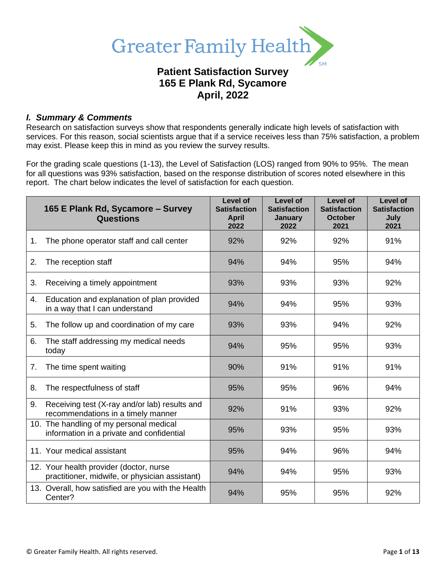

# **Patient Satisfaction Survey 165 E Plank Rd, Sycamore April, 2022**

### *I. Summary & Comments*

Research on satisfaction surveys show that respondents generally indicate high levels of satisfaction with services. For this reason, social scientists argue that if a service receives less than 75% satisfaction, a problem may exist. Please keep this in mind as you review the survey results.

For the grading scale questions (1-13), the Level of Satisfaction (LOS) ranged from 90% to 95%. The mean for all questions was 93% satisfaction, based on the response distribution of scores noted elsewhere in this report. The chart below indicates the level of satisfaction for each question.

|    | 165 E Plank Rd, Sycamore - Survey<br><b>Questions</b>                                     | Level of<br><b>Satisfaction</b><br><b>April</b><br>2022 | Level of<br><b>Satisfaction</b><br>January<br>2022 | Level of<br><b>Satisfaction</b><br><b>October</b><br>2021 | Level of<br><b>Satisfaction</b><br>July<br>2021 |
|----|-------------------------------------------------------------------------------------------|---------------------------------------------------------|----------------------------------------------------|-----------------------------------------------------------|-------------------------------------------------|
| 1. | The phone operator staff and call center                                                  | 92%                                                     | 92%                                                | 92%                                                       | 91%                                             |
| 2. | The reception staff                                                                       | 94%                                                     | 94%                                                | 95%                                                       | 94%                                             |
| 3. | Receiving a timely appointment                                                            | 93%                                                     | 93%                                                | 93%                                                       | 92%                                             |
| 4. | Education and explanation of plan provided<br>in a way that I can understand              | 94%                                                     | 94%                                                | 95%                                                       | 93%                                             |
| 5. | The follow up and coordination of my care                                                 | 93%                                                     | 93%                                                | 94%                                                       | 92%                                             |
| 6. | The staff addressing my medical needs<br>today                                            | 94%                                                     | 95%                                                | 95%                                                       | 93%                                             |
| 7. | The time spent waiting                                                                    | 90%                                                     | 91%                                                | 91%                                                       | 91%                                             |
| 8. | The respectfulness of staff                                                               | 95%                                                     | 95%                                                | 96%                                                       | 94%                                             |
| 9. | Receiving test (X-ray and/or lab) results and<br>recommendations in a timely manner       | 92%                                                     | 91%                                                | 93%                                                       | 92%                                             |
|    | 10. The handling of my personal medical<br>information in a private and confidential      | 95%                                                     | 93%                                                | 95%                                                       | 93%                                             |
|    | 11. Your medical assistant                                                                | 95%                                                     | 94%                                                | 96%                                                       | 94%                                             |
|    | 12. Your health provider (doctor, nurse<br>practitioner, midwife, or physician assistant) | 94%                                                     | 94%                                                | 95%                                                       | 93%                                             |
|    | 13. Overall, how satisfied are you with the Health<br>Center?                             | 94%                                                     | 95%                                                | 95%                                                       | 92%                                             |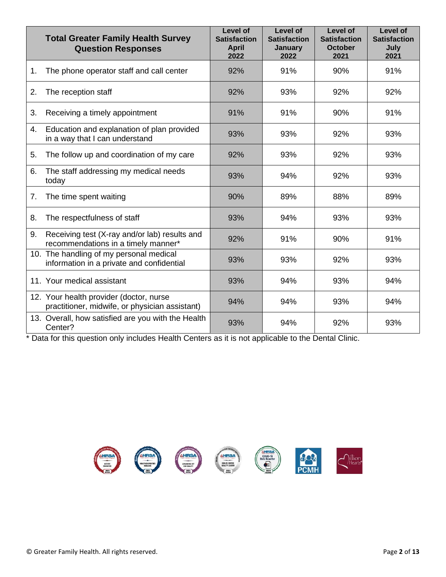|    | <b>Total Greater Family Health Survey</b><br><b>Question Responses</b>                    | <b>Level of</b><br><b>Satisfaction</b><br><b>April</b><br>2022 | <b>Level of</b><br><b>Satisfaction</b><br><b>January</b><br>2022 | <b>Level of</b><br><b>Satisfaction</b><br><b>October</b><br>2021 | <b>Level of</b><br><b>Satisfaction</b><br>July<br>2021 |
|----|-------------------------------------------------------------------------------------------|----------------------------------------------------------------|------------------------------------------------------------------|------------------------------------------------------------------|--------------------------------------------------------|
| 1. | The phone operator staff and call center                                                  | 92%                                                            | 91%                                                              | 90%                                                              | 91%                                                    |
| 2. | The reception staff                                                                       | 92%                                                            | 93%                                                              | 92%                                                              | 92%                                                    |
| 3. | Receiving a timely appointment                                                            | 91%                                                            | 91%                                                              | 90%                                                              | 91%                                                    |
| 4. | Education and explanation of plan provided<br>in a way that I can understand              | 93%                                                            | 93%                                                              | 92%                                                              | 93%                                                    |
| 5. | The follow up and coordination of my care                                                 | 92%                                                            | 93%                                                              | 92%                                                              | 93%                                                    |
| 6. | The staff addressing my medical needs<br>today                                            | 93%                                                            | 94%                                                              | 92%                                                              | 93%                                                    |
| 7. | The time spent waiting                                                                    | 90%                                                            | 89%                                                              | 88%                                                              | 89%                                                    |
| 8. | The respectfulness of staff                                                               | 93%                                                            | 94%                                                              | 93%                                                              | 93%                                                    |
| 9. | Receiving test (X-ray and/or lab) results and<br>recommendations in a timely manner*      | 92%                                                            | 91%                                                              | 90%                                                              | 91%                                                    |
|    | 10. The handling of my personal medical<br>information in a private and confidential      | 93%                                                            | 93%                                                              | 92%                                                              | 93%                                                    |
|    | 11. Your medical assistant                                                                | 93%                                                            | 94%                                                              | 93%                                                              | 94%                                                    |
|    | 12. Your health provider (doctor, nurse<br>practitioner, midwife, or physician assistant) | 94%                                                            | 94%                                                              | 93%                                                              | 94%                                                    |
|    | 13. Overall, how satisfied are you with the Health<br>Center?                             | 93%                                                            | 94%                                                              | 92%                                                              | 93%                                                    |

\* Data for this question only includes Health Centers as it is not applicable to the Dental Clinic.

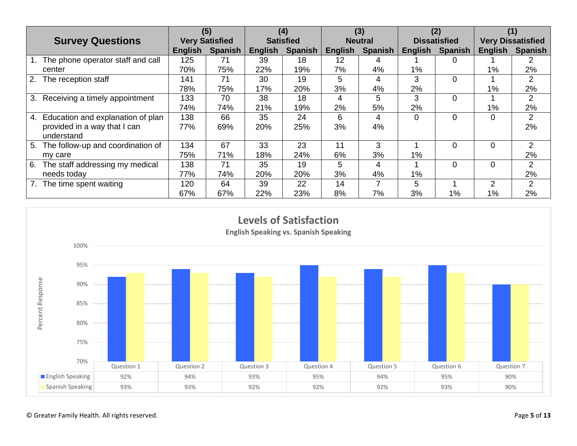|                                         | (5)                   |                | (4)              |                | (3)            |                | (2)                 |                | (1)                      |                |
|-----------------------------------------|-----------------------|----------------|------------------|----------------|----------------|----------------|---------------------|----------------|--------------------------|----------------|
| <b>Survey Questions</b>                 | <b>Very Satisfied</b> |                | <b>Satisfied</b> |                | <b>Neutral</b> |                | <b>Dissatisfied</b> |                | <b>Very Dissatisfied</b> |                |
|                                         | English               | <b>Spanish</b> | <b>English</b>   | <b>Spanish</b> | English        | <b>Spanish</b> | <b>English</b>      | <b>Spanish</b> | <b>English</b>           | <b>Spanish</b> |
| The phone operator staff and call       | 125                   | 71             | 39               | 18             | 12             |                |                     |                |                          |                |
| center                                  | 70%                   | 75%            | 22%              | 19%            | 7%             | 4%             | 1%                  |                | 1%                       | 2%             |
| 2.<br>The reception staff               | 141                   | 71             | 30               | 19             | 5              | 4              | 3                   | 0              |                          | 2              |
|                                         | 78%                   | 75%            | 17%              | 20%            | 3%             | 4%             | 2%                  |                | $1\%$                    | 2%             |
| Receiving a timely appointment<br>3.    | 133                   | 70             | 38               | 18             | 4              | 5              | 3                   | 0              |                          | 2              |
|                                         | 74%                   | 74%            | 21%              | 19%            | 2%             | 5%             | 2%                  |                | 1%                       | 2%             |
| Education and explanation of plan<br>4. | 138                   | 66             | 35               | 24             | 6              | 4              | $\Omega$            | 0              | 0                        | 2              |
| provided in a way that I can            | 77%                   | 69%            | <b>20%</b>       | 25%            | 3%             | 4%             |                     |                |                          | 2%             |
| understand                              |                       |                |                  |                |                |                |                     |                |                          |                |
| The follow-up and coordination of<br>5. | 134                   | 67             | 33               | 23             | 11             | 3              |                     | 0              | $\Omega$                 | 2              |
| my care                                 | 75%                   | 71%            | 18%              | 24%            | 6%             | 3%             | 1%                  |                |                          | 2%             |
| The staff addressing my medical<br>6.   | 138                   | 71             | 35               | 19             | 5              | 4              |                     | 0              | $\Omega$                 | 2              |
| needs today                             | 77%                   | 74%            | 20%              | 20%            | 3%             | 4%             | 1%                  |                |                          | 2%             |
| The time spent waiting                  | 120                   | 64             | 39               | 22             | 14             |                | 5                   |                | $\mathcal{P}$            | $\overline{2}$ |
|                                         | 67%                   | 67%            | 22%              | 23%            | 8%             | 7%             | 3%                  | 1%             | 1%                       | 2%             |

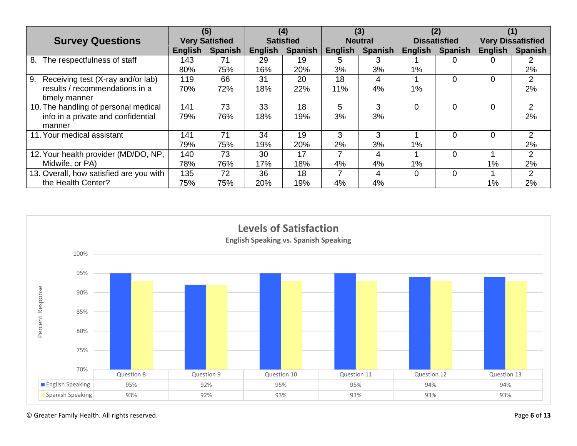|                                         | (5)                   |                | (4)              |         | (3)            |                | (2)                 |                |                          |                |
|-----------------------------------------|-----------------------|----------------|------------------|---------|----------------|----------------|---------------------|----------------|--------------------------|----------------|
| <b>Survey Questions</b>                 | <b>Very Satisfied</b> |                | <b>Satisfied</b> |         | <b>Neutral</b> |                | <b>Dissatisfied</b> |                | <b>Very Dissatisfied</b> |                |
|                                         | English               | <b>Spanish</b> | <b>English</b>   | Spanish | <b>English</b> | <b>Spanish</b> | English             | <b>Spanish</b> | <b>English</b>           | <b>Spanish</b> |
| The respectfulness of staff<br>8.       | 143                   | 71             | 29               | 19      | 5              | 3              |                     |                | 0                        |                |
|                                         | 80%                   | 75%            | 16%              | 20%     | 3%             | 3%             | $1\%$               |                |                          | 2%             |
| 9.<br>Receiving test (X-ray and/or lab) | 119                   | 66             | 31               | 20      | 18             | 4              |                     |                | 0                        | 2              |
| results / recommendations in a          | 70%                   | 72%            | 18%              | 22%     | 11%            | 4%             | 1%                  |                |                          | 2%             |
| timely manner                           |                       |                |                  |         |                |                |                     |                |                          |                |
| 10. The handling of personal medical    | 141                   | 73             | 33               | 18      | 5              | 3              | $\Omega$            |                | 0                        | 2              |
| info in a private and confidential      | 79%                   | 76%            | 18%              | 19%     | 3%             | 3%             |                     |                |                          | 2%             |
| manner                                  |                       |                |                  |         |                |                |                     |                |                          |                |
| 11. Your medical assistant              | 141                   | 71             | 34               | 19      | 3              | 3              |                     |                | $\Omega$                 | $\overline{2}$ |
|                                         | 79%                   | 75%            | 19%              | 20%     | 2%             | 3%             | 1%                  |                |                          | 2%             |
| 12. Your health provider (MD/DO, NP,    | 140                   | 73             | 30               | 17      |                | 4              |                     |                |                          | $\overline{2}$ |
| Midwife, or PA)                         | 78%                   | 76%            | 17%              | 18%     | 4%             | 4%             | 1%                  |                | $1\%$                    | 2%             |
| 13. Overall, how satisfied are you with | 135                   | 72             | 36               | 18      |                | 4              | $\Omega$            |                |                          | $\overline{2}$ |
| the Health Center?                      | 75%                   | 75%            | 20%              | 19%     | 4%             | 4%             |                     |                | 1%                       | 2%             |



© Greater Family Health. All rights reserved. Page **6** of **13**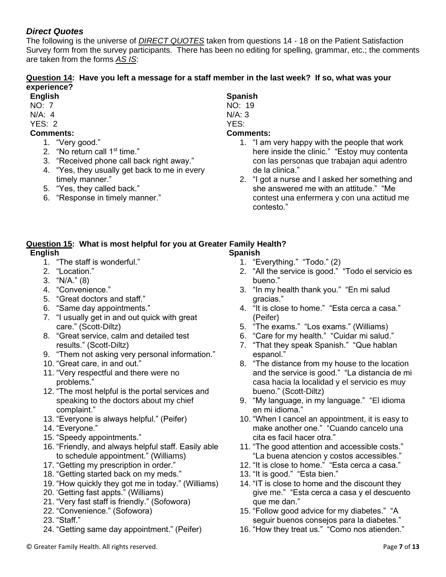## *Direct Quotes*

The following is the universe of *DIRECT QUOTES* taken from questions 14 - 18 on the Patient Satisfaction Survey form from the survey participants. There has been no editing for spelling, grammar, etc.; the comments are taken from the forms *AS IS*:

### **Question 14: Have you left a message for a staff member in the last week? If so, what was your experience?**

- **English**
- NO: 7
- N/A: 4

### YES: 2 **Comments:**

- 1. "Very good."
- 2. "No return call 1<sup>st</sup> time."
- 3. "Received phone call back right away."
- 4. "Yes, they usually get back to me in every timely manner."
- 5. "Yes, they called back."
- 6. "Response in timely manner."

# **Spanish**

NO: 19

N/A: 3 YES:

## **Comments:**

- 1. "I am very happy with the people that work here inside the clinic." "Estoy muy contenta con las personas que trabajan aqui adentro de la clinica."
- 2. "I got a nurse and I asked her something and she answered me with an attitude." "Me contest una enfermera y con una actitud me contesto."

#### **Question 15: What is most helpful for you at Greater Family Health? English Spanish**

- 1. "The staff is wonderful."
- 2. "Location."
- 3. "N/A." (8)
- 4. "Convenience."
- 5. "Great doctors and staff."
- 6. "Same day appointments."
- 7. "I usually get in and out quick with great care." (Scott-Diltz)
- 8. "Great service, calm and detailed test results." (Scott-Diltz)
- 9. "Them not asking very personal information."
- 10. "Great care, in and out."
- 11. "Very respectful and there were no problems."
- 12. "The most helpful is the portal services and speaking to the doctors about my chief complaint."
- 13. "Everyone is always helpful." (Peifer)
- 14. "Everyone."
- 15. "Speedy appointments."
- 16. "Friendly, and always helpful staff. Easily able to schedule appointment." (Williams)
- 17. "Getting my prescription in order."
- 18. "Getting started back on my meds."
- 19. "How quickly they got me in today." (Williams)
- 20. 'Getting fast appts." (Williams)
- 21. "Very fast staff is friendly." (Sofowora)
- 22. "Convenience." (Sofowora)
- 23. "Staff."
- 24. "Getting same day appointment." (Peifer)
- 1. "Everything." "Todo." (2)
- 2. "All the service is good." "Todo el servicio es bueno."
- 3. "In my health thank you." "En mi salud gracias."
- 4. "It is close to home." "Esta cerca a casa." (Peifer)
- 5. "The exams." "Los exams." (Williams)
- 6. "Care for my health." "Cuidar mi salud."
- 7. "That they speak Spanish." "Que hablan espanol."
- 8. "The distance from my house to the location and the service is good." "La distancia de mi casa hacia la localidad y el servicio es muy bueno." (Scott-Diltz)
- 9. "My language, in my language." "El idioma en mi idioma."
- 10. "When I cancel an appointment, it is easy to make another one." "Cuando cancelo una cita es facil hacer otra."
- 11. "The good attention and accessible costs." "La buena atencion y costos accessibles."
- 12. "It is close to home." "Esta cerca a casa."
- 13. "It is good." "Esta bien."
- 14. "IT is close to home and the discount they give me." "Esta cerca a casa y el descuento que me dan."
- 15. "Follow good advice for my diabetes." "A seguir buenos consejos para la diabetes."
- 16. "How they treat us." "Como nos atienden."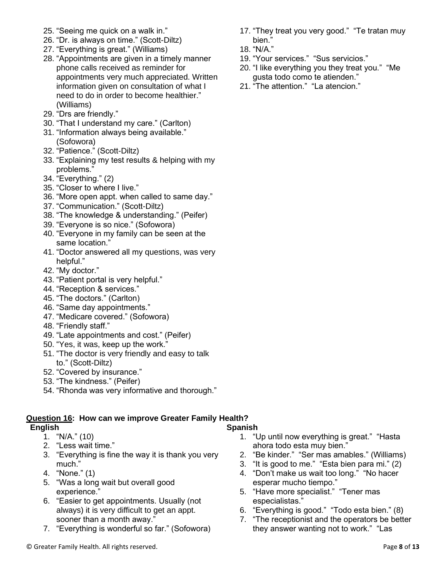- 25. "Seeing me quick on a walk in."
- 26. "Dr. is always on time." (Scott-Diltz)
- 27. "Everything is great." (Williams)
- 28. "Appointments are given in a timely manner phone calls received as reminder for appointments very much appreciated. Written information given on consultation of what I need to do in order to become healthier." (Williams)
- 29. "Drs are friendly."
- 30. "That I understand my care." (Carlton)
- 31. "Information always being available." (Sofowora)
- 32. "Patience." (Scott-Diltz)
- 33. "Explaining my test results & helping with my problems."
- 34. "Everything." (2)
- 35. "Closer to where I live."
- 36. "More open appt. when called to same day."
- 37. "Communication." (Scott-Diltz)
- 38. "The knowledge & understanding." (Peifer)
- 39. "Everyone is so nice." (Sofowora)
- 40. "Everyone in my family can be seen at the same location."
- 41. "Doctor answered all my questions, was very helpful."
- 42. "My doctor."
- 43. "Patient portal is very helpful."
- 44. "Reception & services."
- 45. "The doctors." (Carlton)
- 46. "Same day appointments."
- 47. "Medicare covered." (Sofowora)
- 48. "Friendly staff."
- 49. "Late appointments and cost." (Peifer)
- 50. "Yes, it was, keep up the work."
- 51. "The doctor is very friendly and easy to talk to." (Scott-Diltz)
- 52. "Covered by insurance."
- 53. "The kindness." (Peifer)
- 54. "Rhonda was very informative and thorough."

### **Question 16: How can we improve Greater Family Health?**

### **English**

- 1. "N/A." (10)
- 2. "Less wait time."
- 3. "Everything is fine the way it is thank you very much."
- 4. "None." (1)
- 5. "Was a long wait but overall good experience."
- 6. "Easier to get appointments. Usually (not always) it is very difficult to get an appt. sooner than a month away."
- 7. "Everything is wonderful so far." (Sofowora)
- 17. "They treat you very good." "Te tratan muy bien."
- 18. "N/A."
- 19. "Your services." "Sus servicios."
- 20. "I like everything you they treat you." "Me gusta todo como te atienden."
- 21. "The attention." "La atencion."

- 1. "Up until now everything is great." "Hasta ahora todo esta muy bien."
- 2. "Be kinder." "Ser mas amables." (Williams)
- 3. "It is good to me." "Esta bien para mi." (2)
- 4. "Don't make us wait too long." "No hacer esperar mucho tiempo."
- 5. "Have more specialist." "Tener mas especialistas."

**Spanish**

- 6. "Everything is good." "Todo esta bien." (8)
- 7. "The receptionist and the operators be better they answer wanting not to work." "Las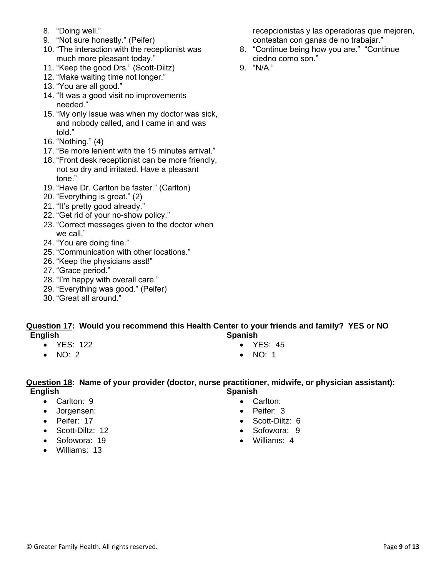- 8. "Doing well."
- 9. "Not sure honestly." (Peifer)
- 10. "The interaction with the receptionist was much more pleasant today."
- 11. "Keep the good Drs." (Scott-Diltz)
- 12. "Make waiting time not longer."
- 13. "You are all good."
- 14. "It was a good visit no improvements needed."
- 15. "My only issue was when my doctor was sick, and nobody called, and I came in and was told."
- 16. "Nothing." (4)
- 17. "Be more lenient with the 15 minutes arrival."
- 18. "Front desk receptionist can be more friendly, not so dry and irritated. Have a pleasant tone."
- 19. "Have Dr. Carlton be faster." (Carlton)
- 20. "Everything is great." (2)
- 21. "It's pretty good already."
- 22. "Get rid of your no-show policy."
- 23. "Correct messages given to the doctor when we call."
- 24. "You are doing fine."
- 25. "Communication with other locations."
- 26. "Keep the physicians asst!"
- 27. "Grace period."
- 28. "I'm happy with overall care."
- 29. "Everything was good." (Peifer)
- 30. "Great all around."

#### **Question 17: Would you recommend this Health Center to your friends and family? YES or NO English Spanish**

- YES: 122
- $\bullet$  NO: 2
- YES: 45
- NO: 1

#### **Question 18: Name of your provider (doctor, nurse practitioner, midwife, or physician assistant): English Spanish**

- Carlton: 9
- Jorgensen:
- Peifer: 17
- Scott-Diltz: 12
- Sofowora: 19
- Williams: 13
- Carlton:
- Peifer: 3
- Scott-Diltz: 6
- Sofowora: 9
- Williams: 4

recepcionistas y las operadoras que mejoren, contestan con ganas de no trabajar."

- 8. "Continue being how you are." "Continue ciedno como son."
- 9. "N/A."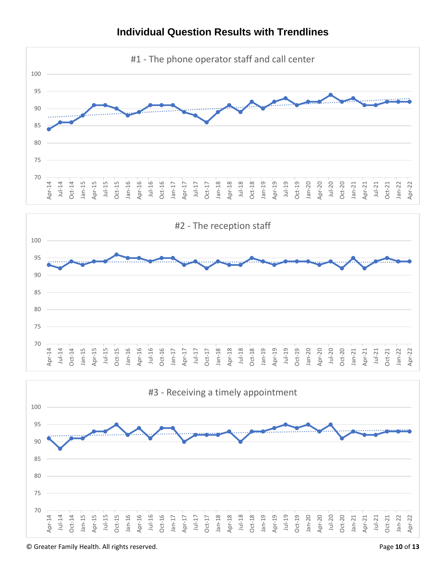

# **Individual Question Results with Trendlines**



© Greater Family Health. All rights reserved. Page **10** of **13**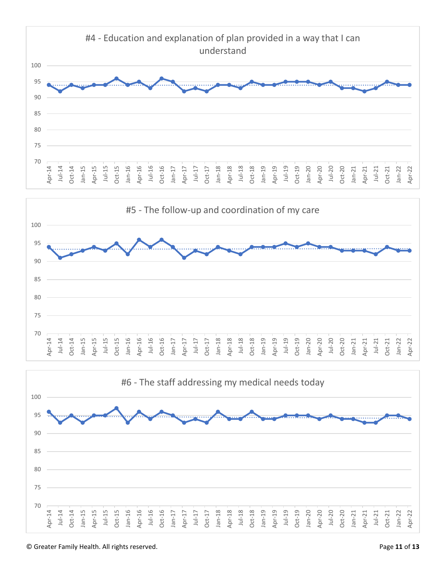



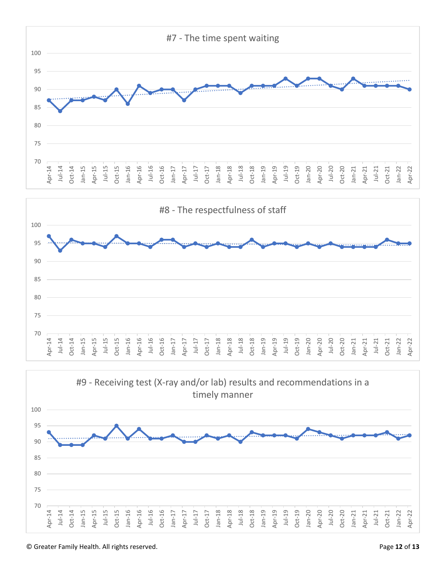





© Greater Family Health. All rights reserved. Page **12** of **13**